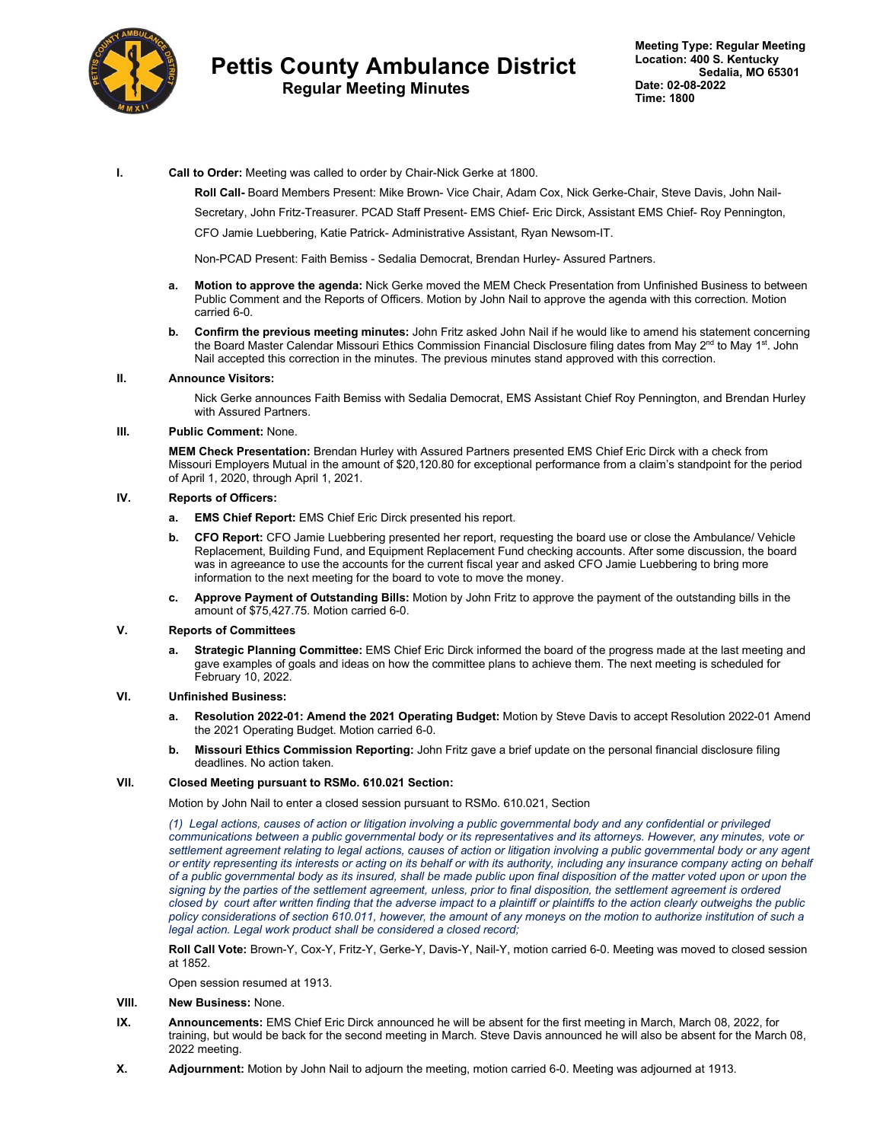

# **Pettis County Ambulance District**

**Regular Meeting Minutes**

**I. Call to Order:** Meeting was called to order by Chair-Nick Gerke at 1800.

**Roll Call-** Board Members Present: Mike Brown- Vice Chair, Adam Cox, Nick Gerke-Chair, Steve Davis, John Nail-

Secretary, John Fritz-Treasurer. PCAD Staff Present- EMS Chief- Eric Dirck, Assistant EMS Chief- Roy Pennington,

CFO Jamie Luebbering, Katie Patrick- Administrative Assistant, Ryan Newsom-IT.

Non-PCAD Present: Faith Bemiss - Sedalia Democrat, Brendan Hurley- Assured Partners.

- **a. Motion to approve the agenda:** Nick Gerke moved the MEM Check Presentation from Unfinished Business to between Public Comment and the Reports of Officers. Motion by John Nail to approve the agenda with this correction. Motion carried 6-0.
- **b. Confirm the previous meeting minutes:** John Fritz asked John Nail if he would like to amend his statement concerning the Board Master Calendar Missouri Ethics Commission Financial Disclosure filing dates from May 2<sup>nd</sup> to May 1<sup>st</sup>. John Nail accepted this correction in the minutes. The previous minutes stand approved with this correction.

#### **II. Announce Visitors:**

Nick Gerke announces Faith Bemiss with Sedalia Democrat, EMS Assistant Chief Roy Pennington, and Brendan Hurley with Assured Partners.

#### **III. Public Comment:** None.

**MEM Check Presentation:** Brendan Hurley with Assured Partners presented EMS Chief Eric Dirck with a check from Missouri Employers Mutual in the amount of \$20,120.80 for exceptional performance from a claim's standpoint for the period of April 1, 2020, through April 1, 2021.

#### **IV. Reports of Officers:**

- **a. EMS Chief Report:** EMS Chief Eric Dirck presented his report.
- **b. CFO Report:** CFO Jamie Luebbering presented her report, requesting the board use or close the Ambulance/ Vehicle Replacement, Building Fund, and Equipment Replacement Fund checking accounts. After some discussion, the board was in agreeance to use the accounts for the current fiscal year and asked CFO Jamie Luebbering to bring more information to the next meeting for the board to vote to move the money.
- **c. Approve Payment of Outstanding Bills:** Motion by John Fritz to approve the payment of the outstanding bills in the amount of \$75,427.75. Motion carried 6-0.

#### **V. Reports of Committees**

**a. Strategic Planning Committee:** EMS Chief Eric Dirck informed the board of the progress made at the last meeting and gave examples of goals and ideas on how the committee plans to achieve them. The next meeting is scheduled for February 10, 2022.

### **VI. Unfinished Business:**

- **a. Resolution 2022-01: Amend the 2021 Operating Budget:** Motion by Steve Davis to accept Resolution 2022-01 Amend the 2021 Operating Budget. Motion carried 6-0.
- **b. Missouri Ethics Commission Reporting:** John Fritz gave a brief update on the personal financial disclosure filing deadlines. No action taken.

## **VII. Closed Meeting pursuant to RSMo. 610.021 Section:**

Motion by John Nail to enter a closed session pursuant to RSMo. 610.021, Section

*(1) Legal actions, causes of action or litigation involving a public governmental body and any confidential or privileged communications between a public governmental body or its representatives and its attorneys. However, any minutes, vote or settlement agreement relating to legal actions, causes of action or litigation involving a public governmental body or any agent or entity representing its interests or acting on its behalf or with its authority, including any insurance company acting on behalf of a public governmental body as its insured, shall be made public upon final disposition of the matter voted upon or upon the signing by the parties of the settlement agreement, unless, prior to final disposition, the settlement agreement is ordered closed by court after written finding that the adverse impact to a plaintiff or plaintiffs to the action clearly outweighs the public policy considerations of section 610.011, however, the amount of any moneys on the motion to authorize institution of such a legal action. Legal work product shall be considered a closed record;*

**Roll Call Vote:** Brown-Y, Cox-Y, Fritz-Y, Gerke-Y, Davis-Y, Nail-Y, motion carried 6-0. Meeting was moved to closed session at 1852.

Open session resumed at 1913.

#### **VIII. New Business:** None.

- **IX. Announcements:** EMS Chief Eric Dirck announced he will be absent for the first meeting in March, March 08, 2022, for training, but would be back for the second meeting in March. Steve Davis announced he will also be absent for the March 08, 2022 meeting.
- **X. Adjournment:** Motion by John Nail to adjourn the meeting, motion carried 6-0. Meeting was adjourned at 1913.